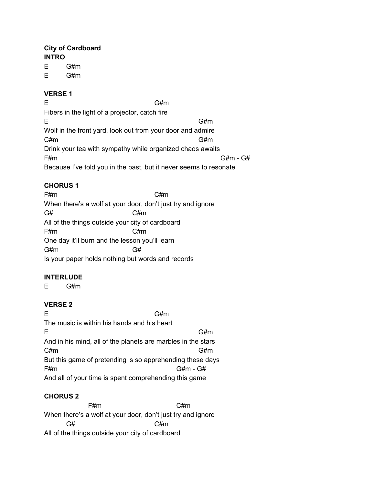## **City of Cardboard**

**INTRO**

E G#m

E G#m

#### **VERSE 1**

E G#m

Fibers in the light of a projector, catch fire E G#m Wolf in the front yard, look out from your door and admire C#m G#m Drink your tea with sympathy while organized chaos awaits F#m G#m - G# Because I've told you in the past, but it never seems to resonate

# **CHORUS 1**

F#m C#m When there's a wolf at your door, don't just try and ignore  $G#$   $C#m$ All of the things outside your city of cardboard F#m C#m One day it'll burn and the lesson you'll learn G#m G# Is your paper holds nothing but words and records

## **INTERLUDE**

E G#m

## **VERSE 2**

E G#m The music is within his hands and his heart E G#m And in his mind, all of the planets are marbles in the stars C#m G#m But this game of pretending is so apprehending these days F#m G#m - G# And all of your time is spent comprehending this game

## **CHORUS 2**

F#m C#m When there's a wolf at your door, don't just try and ignore G# C#m All of the things outside your city of cardboard